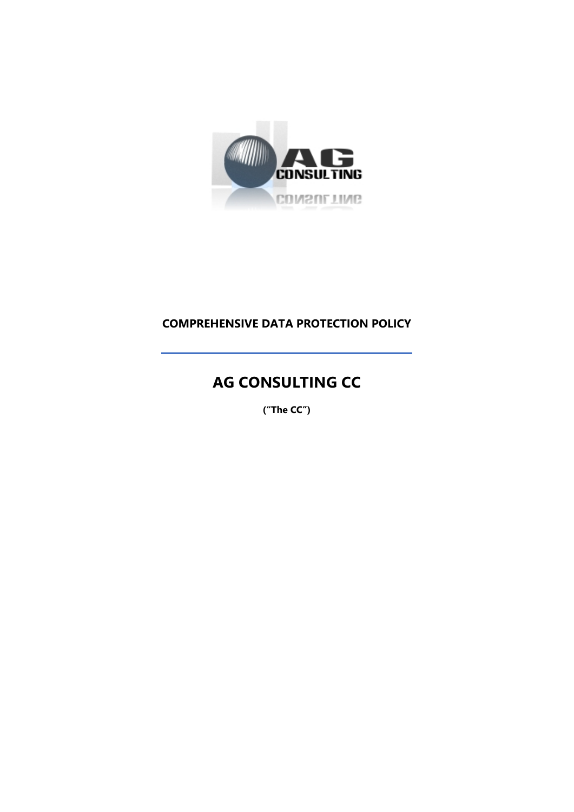

# **COMPREHENSIVE DATA PROTECTION POLICY**

# **AG CONSULTING CC**

**("The CC")**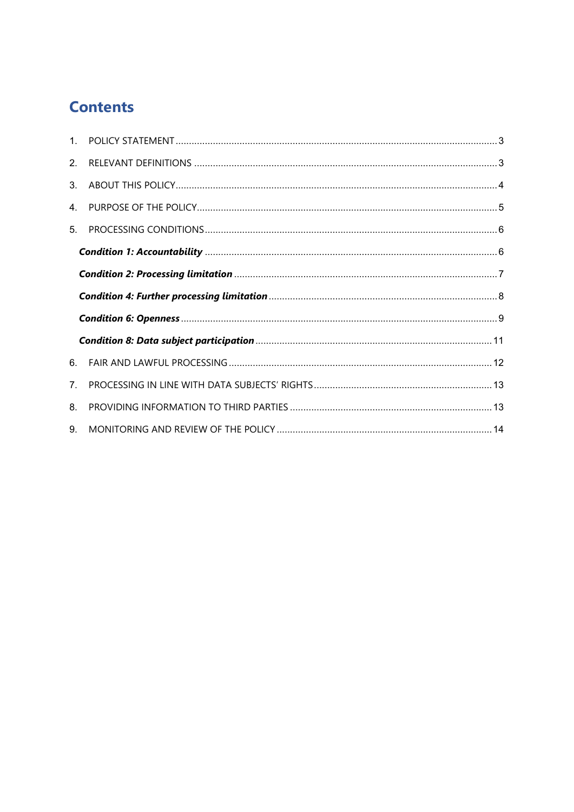# **Contents**

| 4 <sup>1</sup> |  |
|----------------|--|
| 5.             |  |
|                |  |
|                |  |
|                |  |
|                |  |
|                |  |
| 6.             |  |
|                |  |
| 7 <sup>1</sup> |  |
| 8.             |  |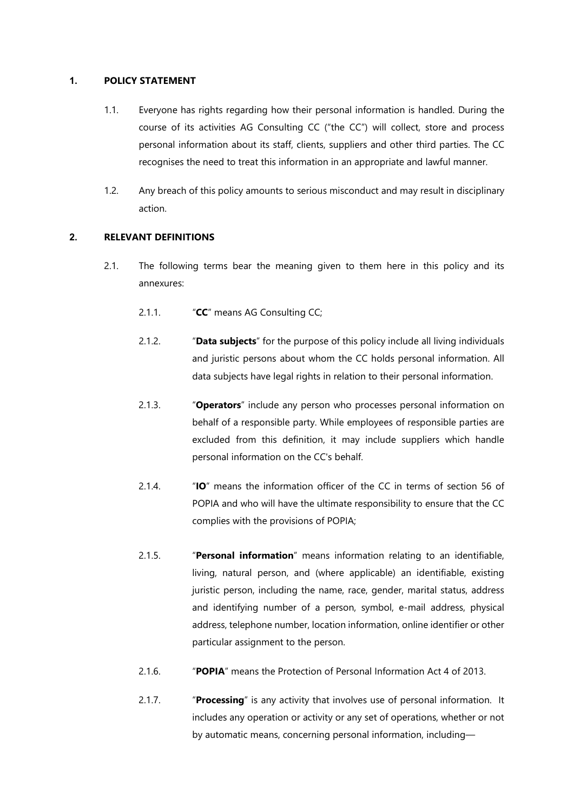#### <span id="page-2-0"></span>**1. POLICY STATEMENT**

- 1.1. Everyone has rights regarding how their personal information is handled. During the course of its activities AG Consulting CC ("the CC") will collect, store and process personal information about its staff, clients, suppliers and other third parties. The CC recognises the need to treat this information in an appropriate and lawful manner.
- 1.2. Any breach of this policy amounts to serious misconduct and may result in disciplinary action.

# <span id="page-2-1"></span>**2. RELEVANT DEFINITIONS**

- 2.1. The following terms bear the meaning given to them here in this policy and its annexures:
	- 2.1.1. "**CC**" means AG Consulting CC;
	- 2.1.2. "**Data subjects**" for the purpose of this policy include all living individuals and juristic persons about whom the CC holds personal information. All data subjects have legal rights in relation to their personal information.
	- 2.1.3. "**Operators**" include any person who processes personal information on behalf of a responsible party. While employees of responsible parties are excluded from this definition, it may include suppliers which handle personal information on the CC's behalf.
	- 2.1.4. "**IO**" means the information officer of the CC in terms of section 56 of POPIA and who will have the ultimate responsibility to ensure that the CC complies with the provisions of POPIA;
	- 2.1.5. "**Personal information**" means information relating to an identifiable, living, natural person, and (where applicable) an identifiable, existing juristic person, including the name, race, gender, marital status, address and identifying number of a person, symbol, e-mail address, physical address, telephone number, location information, online identifier or other particular assignment to the person.
	- 2.1.6. "**POPIA**" means the Protection of Personal Information Act 4 of 2013.
	- 2.1.7. "**Processing**" is any activity that involves use of personal information. It includes any operation or activity or any set of operations, whether or not by automatic means, concerning personal information, including—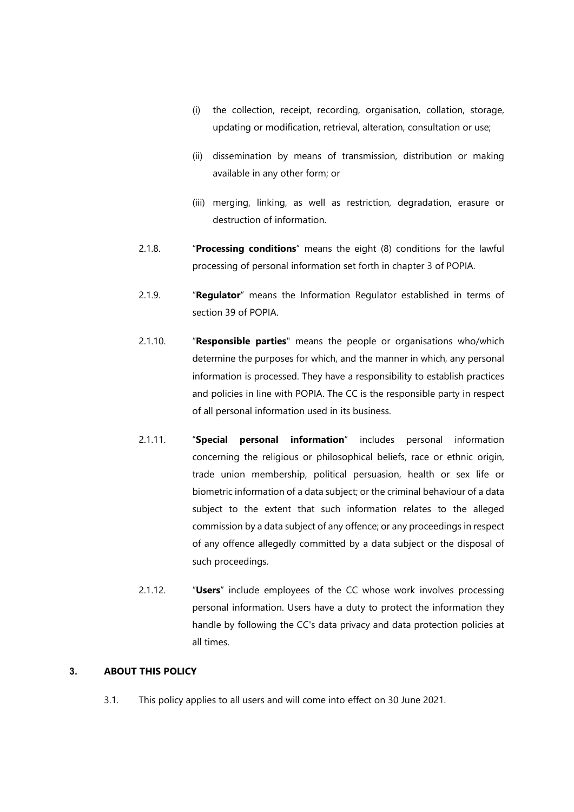- (i) the collection, receipt, recording, organisation, collation, storage, updating or modification, retrieval, alteration, consultation or use;
- (ii) dissemination by means of transmission, distribution or making available in any other form; or
- (iii) merging, linking, as well as restriction, degradation, erasure or destruction of information.
- 2.1.8. "**Processing conditions**" means the eight (8) conditions for the lawful processing of personal information set forth in chapter 3 of POPIA.
- 2.1.9. "**Regulator**" means the Information Regulator established in terms of section 39 of POPIA.
- 2.1.10. "**Responsible parties**" means the people or organisations who/which determine the purposes for which, and the manner in which, any personal information is processed. They have a responsibility to establish practices and policies in line with POPIA. The CC is the responsible party in respect of all personal information used in its business.
- 2.1.11. "**Special personal information**" includes personal information concerning the religious or philosophical beliefs, race or ethnic origin, trade union membership, political persuasion, health or sex life or biometric information of a data subject; or the criminal behaviour of a data subject to the extent that such information relates to the alleged commission by a data subject of any offence; or any proceedings in respect of any offence allegedly committed by a data subject or the disposal of such proceedings.
- 2.1.12. "**Users**" include employees of the CC whose work involves processing personal information. Users have a duty to protect the information they handle by following the CC's data privacy and data protection policies at all times.

#### <span id="page-3-0"></span>**3. ABOUT THIS POLICY**

3.1. This policy applies to all users and will come into effect on 30 June 2021.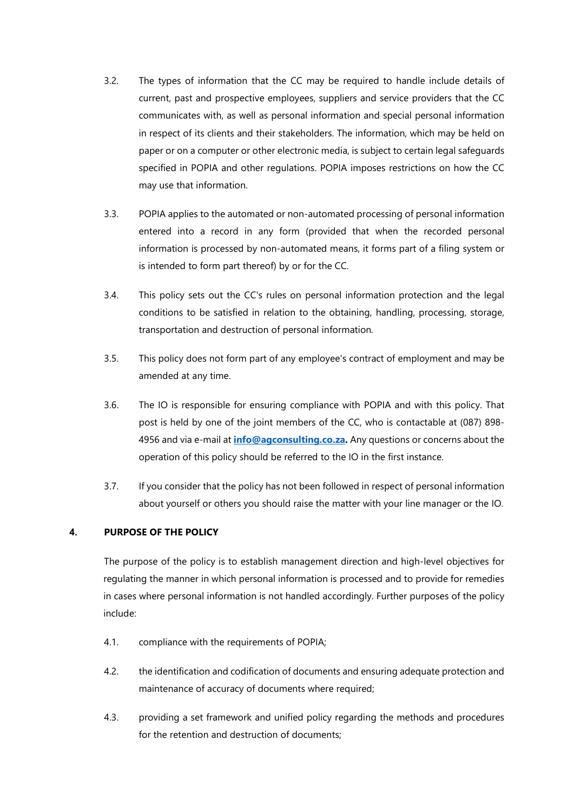- 3.2. The types of information that the CC may be required to handle include details of current, past and prospective employees, suppliers and service providers that the CC communicates with, as well as personal information and special personal information in respect of its clients and their stakeholders. The information, which may be held on paper or on a computer or other electronic media, is subject to certain legal safeguards specified in POPIA and other regulations. POPIA imposes restrictions on how the CC may use that information.
- 3.3. POPIA applies to the automated or non-automated processing of personal information entered into a record in any form (provided that when the recorded personal information is processed by non-automated means, it forms part of a filing system or is intended to form part thereof) by or for the CC.
- 3.4. This policy sets out the CC's rules on personal information protection and the legal conditions to be satisfied in relation to the obtaining, handling, processing, storage, transportation and destruction of personal information*.*
- 3.5. This policy does not form part of any employee's contract of employment and may be amended at any time.
- 3.6. The IO is responsible for ensuring compliance with POPIA and with this policy. That post is held by one of the joint members of the CC, who is contactable at (087) 898- 4956 and via e-mail at **[info@agconsulting.co.za.](mailto:info@agconsulting.co.za)** Any questions or concerns about the operation of this policy should be referred to the IO in the first instance.
- 3.7. If you consider that the policy has not been followed in respect of personal information about yourself or others you should raise the matter with your line manager or the IO.

# <span id="page-4-0"></span>**4. PURPOSE OF THE POLICY**

The purpose of the policy is to establish management direction and high-level objectives for regulating the manner in which personal information is processed and to provide for remedies in cases where personal information is not handled accordingly. Further purposes of the policy include:

- 4.1. compliance with the requirements of POPIA;
- 4.2. the identification and codification of documents and ensuring adequate protection and maintenance of accuracy of documents where required;
- 4.3. providing a set framework and unified policy regarding the methods and procedures for the retention and destruction of documents;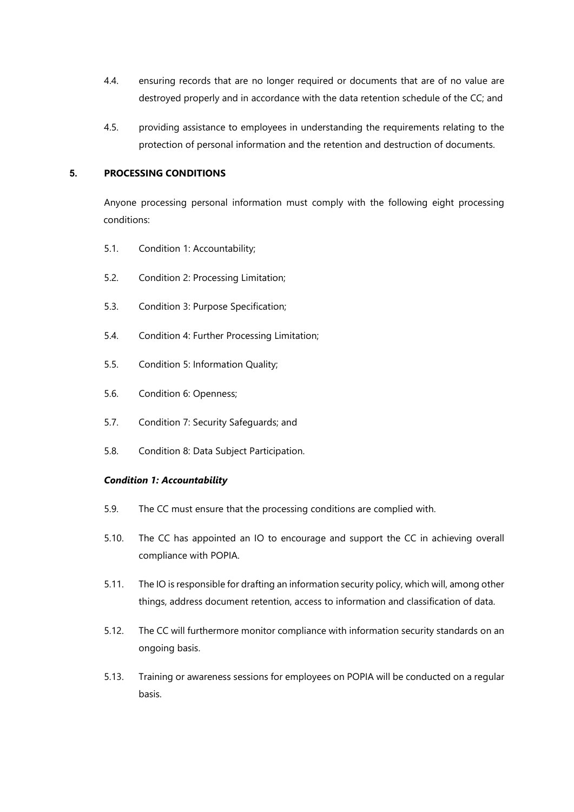- 4.4. ensuring records that are no longer required or documents that are of no value are destroyed properly and in accordance with the data retention schedule of the CC; and
- 4.5. providing assistance to employees in understanding the requirements relating to the protection of personal information and the retention and destruction of documents.

#### <span id="page-5-0"></span>**5. PROCESSING CONDITIONS**

Anyone processing personal information must comply with the following eight processing conditions:

- 5.1. Condition 1: Accountability;
- 5.2. Condition 2: Processing Limitation;
- 5.3. Condition 3: Purpose Specification;
- 5.4. Condition 4: Further Processing Limitation;
- 5.5. Condition 5: Information Quality;
- 5.6. Condition 6: Openness;
- 5.7. Condition 7: Security Safeguards; and
- 5.8. Condition 8: Data Subject Participation.

#### <span id="page-5-1"></span>*Condition 1: Accountability*

- 5.9. The CC must ensure that the processing conditions are complied with.
- 5.10. The CC has appointed an IO to encourage and support the CC in achieving overall compliance with POPIA.
- 5.11. The IO is responsible for drafting an information security policy, which will, among other things, address document retention, access to information and classification of data.
- 5.12. The CC will furthermore monitor compliance with information security standards on an ongoing basis.
- 5.13. Training or awareness sessions for employees on POPIA will be conducted on a regular basis.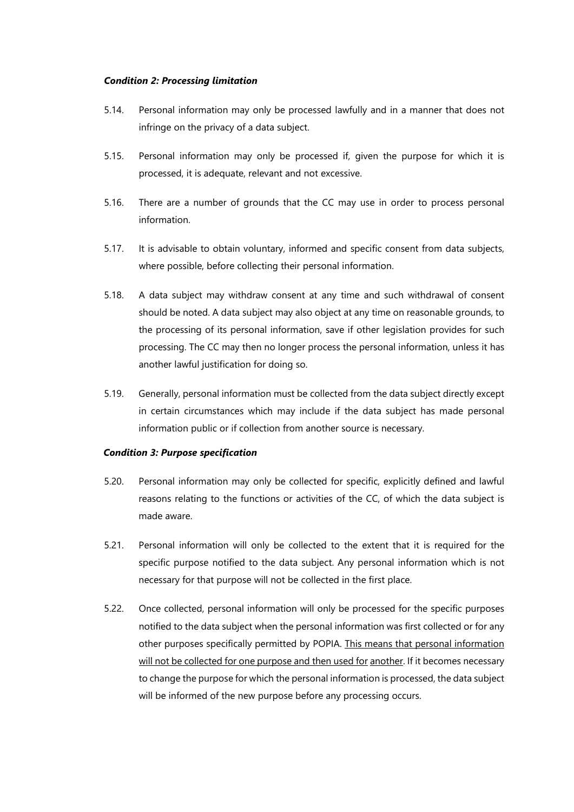#### <span id="page-6-0"></span>*Condition 2: Processing limitation*

- 5.14. Personal information may only be processed lawfully and in a manner that does not infringe on the privacy of a data subject.
- 5.15. Personal information may only be processed if, given the purpose for which it is processed, it is adequate, relevant and not excessive.
- 5.16. There are a number of grounds that the CC may use in order to process personal information.
- 5.17. It is advisable to obtain voluntary, informed and specific consent from data subjects, where possible, before collecting their personal information.
- 5.18. A data subject may withdraw consent at any time and such withdrawal of consent should be noted. A data subject may also object at any time on reasonable grounds, to the processing of its personal information, save if other legislation provides for such processing. The CC may then no longer process the personal information, unless it has another lawful justification for doing so.
- 5.19. Generally, personal information must be collected from the data subject directly except in certain circumstances which may include if the data subject has made personal information public or if collection from another source is necessary.

#### *Condition 3: Purpose specification*

- 5.20. Personal information may only be collected for specific, explicitly defined and lawful reasons relating to the functions or activities of the CC, of which the data subject is made aware.
- 5.21. Personal information will only be collected to the extent that it is required for the specific purpose notified to the data subject. Any personal information which is not necessary for that purpose will not be collected in the first place.
- 5.22. Once collected, personal information will only be processed for the specific purposes notified to the data subject when the personal information was first collected or for any other purposes specifically permitted by POPIA. This means that personal information will not be collected for one purpose and then used for another. If it becomes necessary to change the purpose for which the personal information is processed, the data subject will be informed of the new purpose before any processing occurs.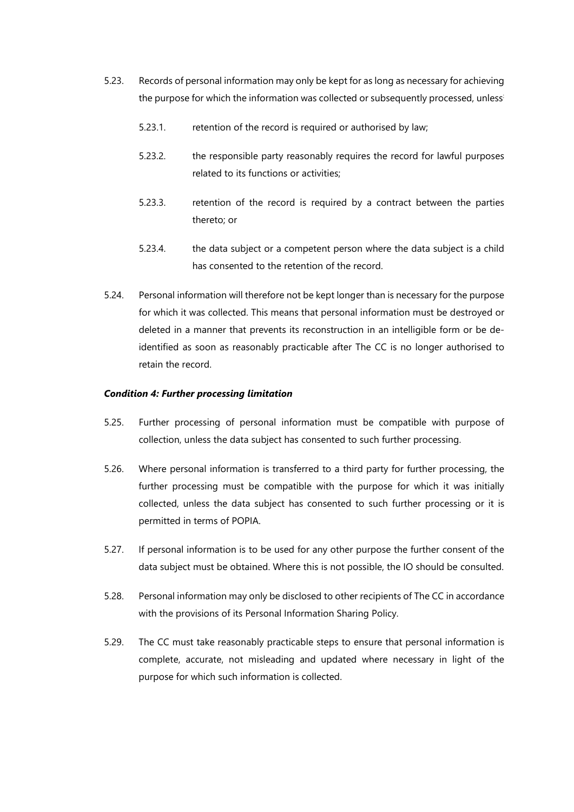- 5.23. Records of personal information may only be kept for as long as necessary for achieving the purpose for which the information was collected or subsequently processed, unless:
	- 5.23.1. retention of the record is required or authorised by law;
	- 5.23.2. the responsible party reasonably requires the record for lawful purposes related to its functions or activities;
	- 5.23.3. retention of the record is required by a contract between the parties thereto; or
	- 5.23.4. the data subject or a competent person where the data subject is a child has consented to the retention of the record.
- 5.24. Personal information will therefore not be kept longer than is necessary for the purpose for which it was collected. This means that personal information must be destroyed or deleted in a manner that prevents its reconstruction in an intelligible form or be deidentified as soon as reasonably practicable after The CC is no longer authorised to retain the record.

#### <span id="page-7-0"></span>*Condition 4: Further processing limitation*

- 5.25. Further processing of personal information must be compatible with purpose of collection, unless the data subject has consented to such further processing.
- 5.26. Where personal information is transferred to a third party for further processing, the further processing must be compatible with the purpose for which it was initially collected, unless the data subject has consented to such further processing or it is permitted in terms of POPIA.
- 5.27. If personal information is to be used for any other purpose the further consent of the data subject must be obtained. Where this is not possible, the IO should be consulted.
- 5.28. Personal information may only be disclosed to other recipients of The CC in accordance with the provisions of its Personal Information Sharing Policy.
- 5.29. The CC must take reasonably practicable steps to ensure that personal information is complete, accurate, not misleading and updated where necessary in light of the purpose for which such information is collected.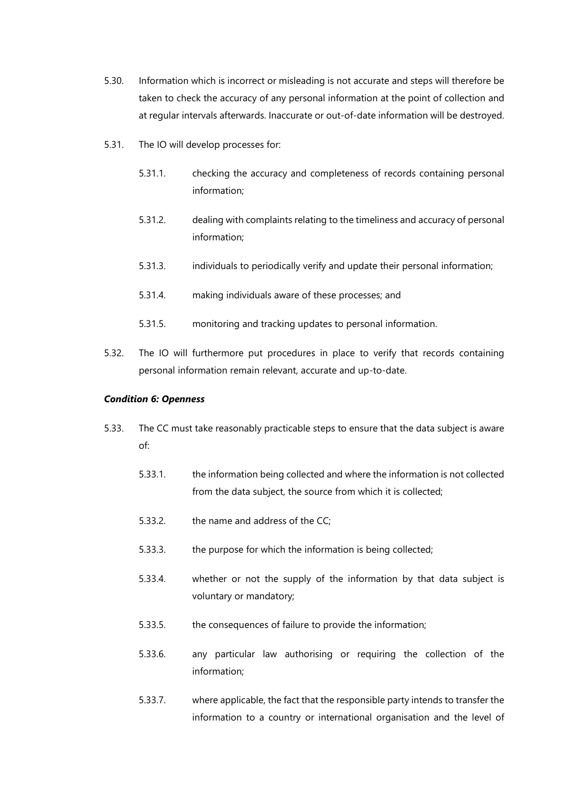- 5.30. Information which is incorrect or misleading is not accurate and steps will therefore be taken to check the accuracy of any personal information at the point of collection and at regular intervals afterwards. Inaccurate or out-of-date information will be destroyed.
- 5.31. The IO will develop processes for:
	- 5.31.1. checking the accuracy and completeness of records containing personal information;
	- 5.31.2. dealing with complaints relating to the timeliness and accuracy of personal information;
	- 5.31.3. individuals to periodically verify and update their personal information;
	- 5.31.4. making individuals aware of these processes; and
	- 5.31.5. monitoring and tracking updates to personal information.
- 5.32. The IO will furthermore put procedures in place to verify that records containing personal information remain relevant, accurate and up-to-date.

#### <span id="page-8-0"></span>*Condition 6: Openness*

- 5.33. The CC must take reasonably practicable steps to ensure that the data subject is aware of:
	- 5.33.1. the information being collected and where the information is not collected from the data subject, the source from which it is collected;
	- 5.33.2. the name and address of the CC;
	- 5.33.3. the purpose for which the information is being collected;
	- 5.33.4. whether or not the supply of the information by that data subject is voluntary or mandatory;
	- 5.33.5. the consequences of failure to provide the information;
	- 5.33.6. any particular law authorising or requiring the collection of the information;
	- 5.33.7. where applicable, the fact that the responsible party intends to transfer the information to a country or international organisation and the level of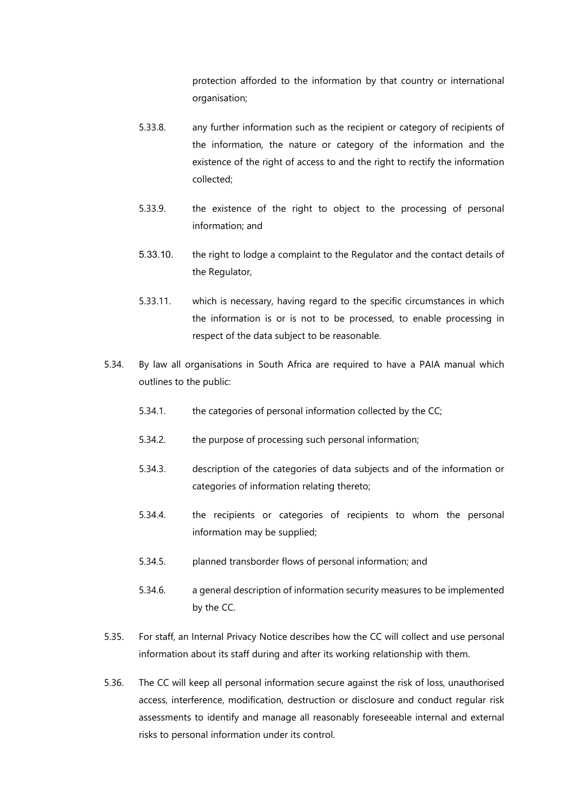protection afforded to the information by that country or international organisation;

- 5.33.8. any further information such as the recipient or category of recipients of the information, the nature or category of the information and the existence of the right of access to and the right to rectify the information collected;
- 5.33.9. the existence of the right to object to the processing of personal information; and
- 5.33.10. the right to lodge a complaint to the Regulator and the contact details of the Regulator,
- 5.33.11. which is necessary, having regard to the specific circumstances in which the information is or is not to be processed, to enable processing in respect of the data subject to be reasonable.
- 5.34. By law all organisations in South Africa are required to have a PAIA manual which outlines to the public:
	- 5.34.1. the categories of personal information collected by the CC;
	- 5.34.2. the purpose of processing such personal information;
	- 5.34.3. description of the categories of data subjects and of the information or categories of information relating thereto;
	- 5.34.4. the recipients or categories of recipients to whom the personal information may be supplied;
	- 5.34.5. planned transborder flows of personal information; and
	- 5.34.6. a general description of information security measures to be implemented by the CC.
- 5.35. For staff, an Internal Privacy Notice describes how the CC will collect and use personal information about its staff during and after its working relationship with them.
- 5.36. The CC will keep all personal information secure against the risk of loss, unauthorised access, interference, modification, destruction or disclosure and conduct regular risk assessments to identify and manage all reasonably foreseeable internal and external risks to personal information under its control.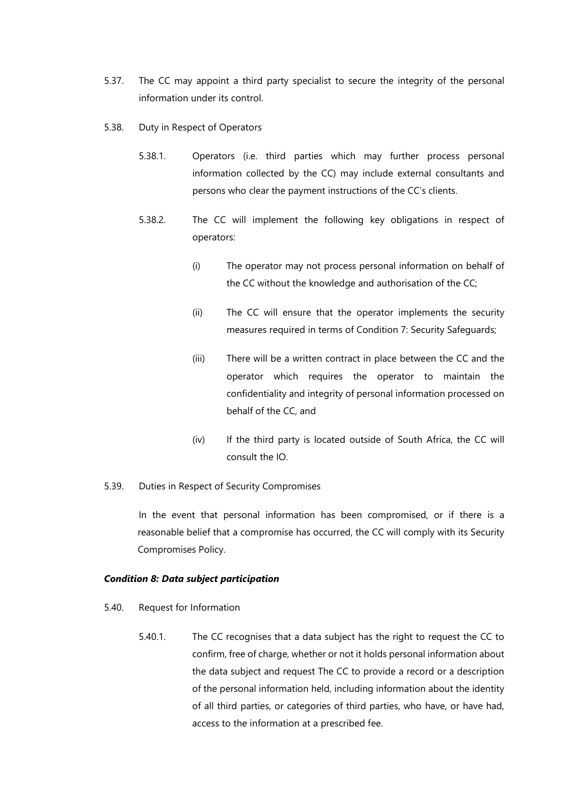- 5.37. The CC may appoint a third party specialist to secure the integrity of the personal information under its control.
- 5.38. Duty in Respect of Operators
	- 5.38.1. Operators (i.e. third parties which may further process personal information collected by the CC) may include external consultants and persons who clear the payment instructions of the CC's clients.
	- 5.38.2. The CC will implement the following key obligations in respect of operators:
		- (i) The operator may not process personal information on behalf of the CC without the knowledge and authorisation of the CC;
		- (ii) The CC will ensure that the operator implements the security measures required in terms of Condition 7: Security Safeguards;
		- (iii) There will be a written contract in place between the CC and the operator which requires the operator to maintain the confidentiality and integrity of personal information processed on behalf of the CC, and
		- (iv) If the third party is located outside of South Africa, the CC will consult the IO.
- 5.39. Duties in Respect of Security Compromises

In the event that personal information has been compromised, or if there is a reasonable belief that a compromise has occurred, the CC will comply with its Security Compromises Policy.

#### <span id="page-10-0"></span>*Condition 8: Data subject participation*

- 5.40. Request for Information
	- 5.40.1. The CC recognises that a data subject has the right to request the CC to confirm, free of charge, whether or not it holds personal information about the data subject and request The CC to provide a record or a description of the personal information held, including information about the identity of all third parties, or categories of third parties, who have, or have had, access to the information at a prescribed fee.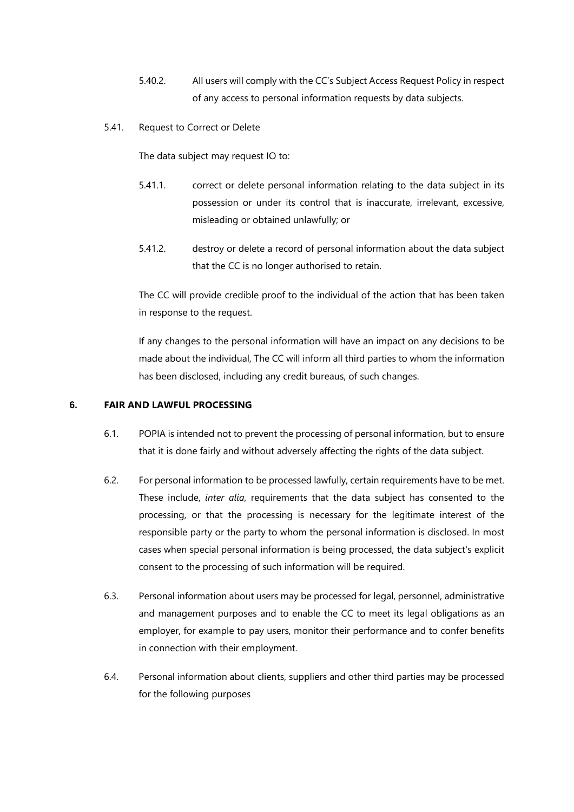- 5.40.2. All users will comply with the CC's Subject Access Request Policy in respect of any access to personal information requests by data subjects.
- 5.41. Request to Correct or Delete

The data subject may request IO to:

- 5.41.1. correct or delete personal information relating to the data subject in its possession or under its control that is inaccurate, irrelevant, excessive, misleading or obtained unlawfully; or
- 5.41.2. destroy or delete a record of personal information about the data subject that the CC is no longer authorised to retain.

The CC will provide credible proof to the individual of the action that has been taken in response to the request.

If any changes to the personal information will have an impact on any decisions to be made about the individual, The CC will inform all third parties to whom the information has been disclosed, including any credit bureaus, of such changes.

### <span id="page-11-0"></span>**6. FAIR AND LAWFUL PROCESSING**

- 6.1. POPIA is intended not to prevent the processing of personal information, but to ensure that it is done fairly and without adversely affecting the rights of the data subject.
- 6.2. For personal information to be processed lawfully, certain requirements have to be met. These include, *inter alia*, requirements that the data subject has consented to the processing, or that the processing is necessary for the legitimate interest of the responsible party or the party to whom the personal information is disclosed. In most cases when special personal information is being processed, the data subject's explicit consent to the processing of such information will be required.
- 6.3. Personal information about users may be processed for legal, personnel, administrative and management purposes and to enable the CC to meet its legal obligations as an employer, for example to pay users, monitor their performance and to confer benefits in connection with their employment.
- 6.4. Personal information about clients, suppliers and other third parties may be processed for the following purposes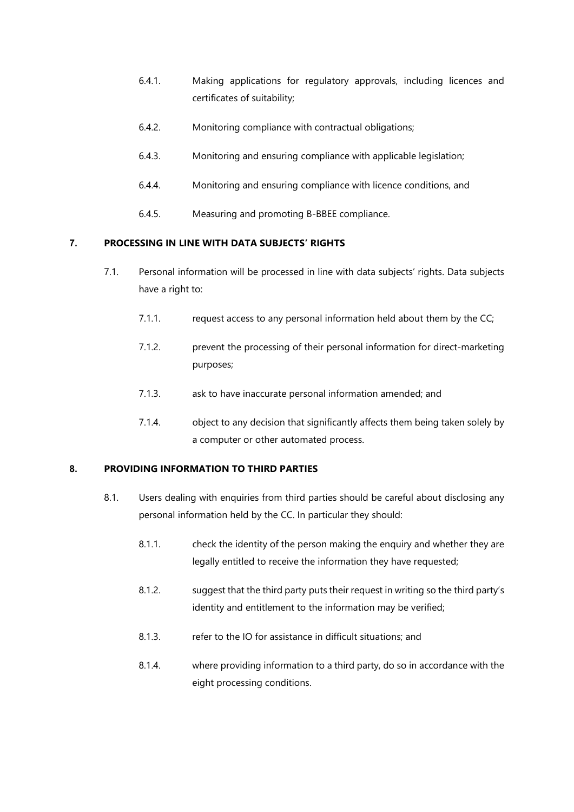- 6.4.1. Making applications for regulatory approvals, including licences and certificates of suitability;
- 6.4.2. Monitoring compliance with contractual obligations;
- 6.4.3. Monitoring and ensuring compliance with applicable legislation;
- 6.4.4. Monitoring and ensuring compliance with licence conditions, and
- 6.4.5. Measuring and promoting B-BBEE compliance.

# <span id="page-12-0"></span>**7. PROCESSING IN LINE WITH DATA SUBJECTS' RIGHTS**

- 7.1. Personal information will be processed in line with data subjects' rights. Data subjects have a right to:
	- 7.1.1. request access to any personal information held about them by the CC;
	- 7.1.2. prevent the processing of their personal information for direct-marketing purposes;
	- 7.1.3. ask to have inaccurate personal information amended; and
	- 7.1.4. object to any decision that significantly affects them being taken solely by a computer or other automated process.

# <span id="page-12-1"></span>**8. PROVIDING INFORMATION TO THIRD PARTIES**

- 8.1. Users dealing with enquiries from third parties should be careful about disclosing any personal information held by the CC. In particular they should:
	- 8.1.1. check the identity of the person making the enquiry and whether they are legally entitled to receive the information they have requested;
	- 8.1.2. suggest that the third party puts their request in writing so the third party's identity and entitlement to the information may be verified;
	- 8.1.3. refer to the IO for assistance in difficult situations; and
	- 8.1.4. where providing information to a third party, do so in accordance with the eight processing conditions.